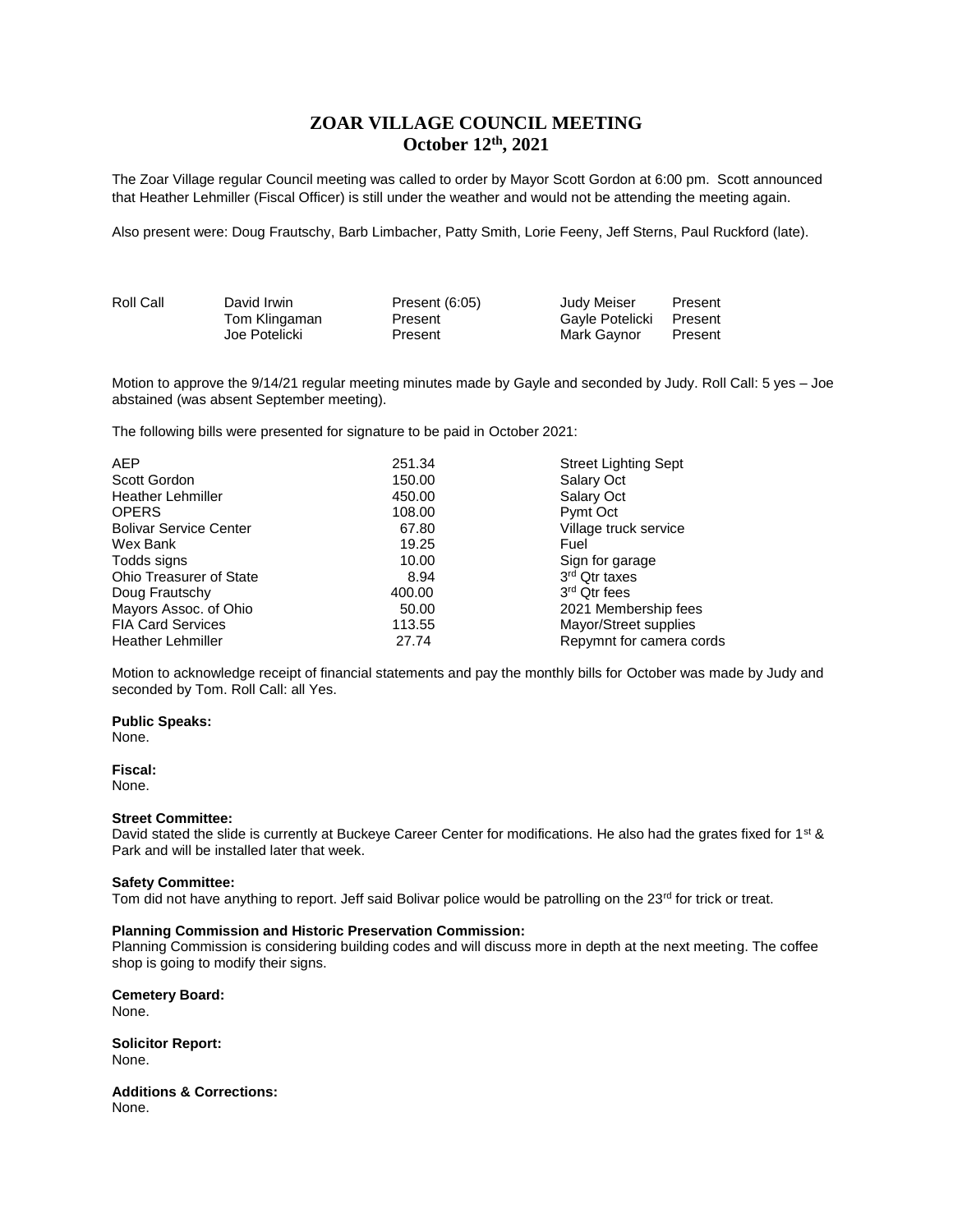# **ZOAR VILLAGE COUNCIL MEETING October 12th, 2021**

The Zoar Village regular Council meeting was called to order by Mayor Scott Gordon at 6:00 pm. Scott announced that Heather Lehmiller (Fiscal Officer) is still under the weather and would not be attending the meeting again.

Also present were: Doug Frautschy, Barb Limbacher, Patty Smith, Lorie Feeny, Jeff Sterns, Paul Ruckford (late).

| Roll Call | David Irwin   | Present $(6:05)$ | Judy Meiser     | Present |
|-----------|---------------|------------------|-----------------|---------|
|           | Tom Klingaman | Present          | Gavle Potelicki | Present |
|           | Joe Potelicki | Present          | Mark Gaynor     | Present |

Motion to approve the 9/14/21 regular meeting minutes made by Gayle and seconded by Judy. Roll Call: 5 yes – Joe abstained (was absent September meeting).

The following bills were presented for signature to be paid in October 2021:

| <b>AEP</b>                     | 251.34 | <b>Street Lighting Sept</b> |
|--------------------------------|--------|-----------------------------|
| Scott Gordon                   | 150.00 | Salary Oct                  |
| <b>Heather Lehmiller</b>       | 450.00 | Salary Oct                  |
| <b>OPERS</b>                   | 108.00 | Pymt Oct                    |
| <b>Bolivar Service Center</b>  | 67.80  | Village truck service       |
| Wex Bank                       | 19.25  | Fuel                        |
| Todds signs                    | 10.00  | Sign for garage             |
| <b>Ohio Treasurer of State</b> | 8.94   | 3 <sup>rd</sup> Qtr taxes   |
| Doug Frautschy                 | 400.00 | 3 <sup>rd</sup> Qtr fees    |
| Mayors Assoc. of Ohio          | 50.00  | 2021 Membership fees        |
| <b>FIA Card Services</b>       | 113.55 | Mayor/Street supplies       |
| <b>Heather Lehmiller</b>       | 27.74  | Repymnt for camera cords    |

Motion to acknowledge receipt of financial statements and pay the monthly bills for October was made by Judy and seconded by Tom. Roll Call: all Yes.

**Public Speaks:**

None.

**Fiscal:** None.

### **Street Committee:**

David stated the slide is currently at Buckeye Career Center for modifications. He also had the grates fixed for 1<sup>st</sup> & Park and will be installed later that week.

## **Safety Committee:**

Tom did not have anything to report. Jeff said Bolivar police would be patrolling on the 23<sup>rd</sup> for trick or treat.

## **Planning Commission and Historic Preservation Commission:**

Planning Commission is considering building codes and will discuss more in depth at the next meeting. The coffee shop is going to modify their signs.

**Cemetery Board:** None.

**Solicitor Report:** None.

**Additions & Corrections:** None.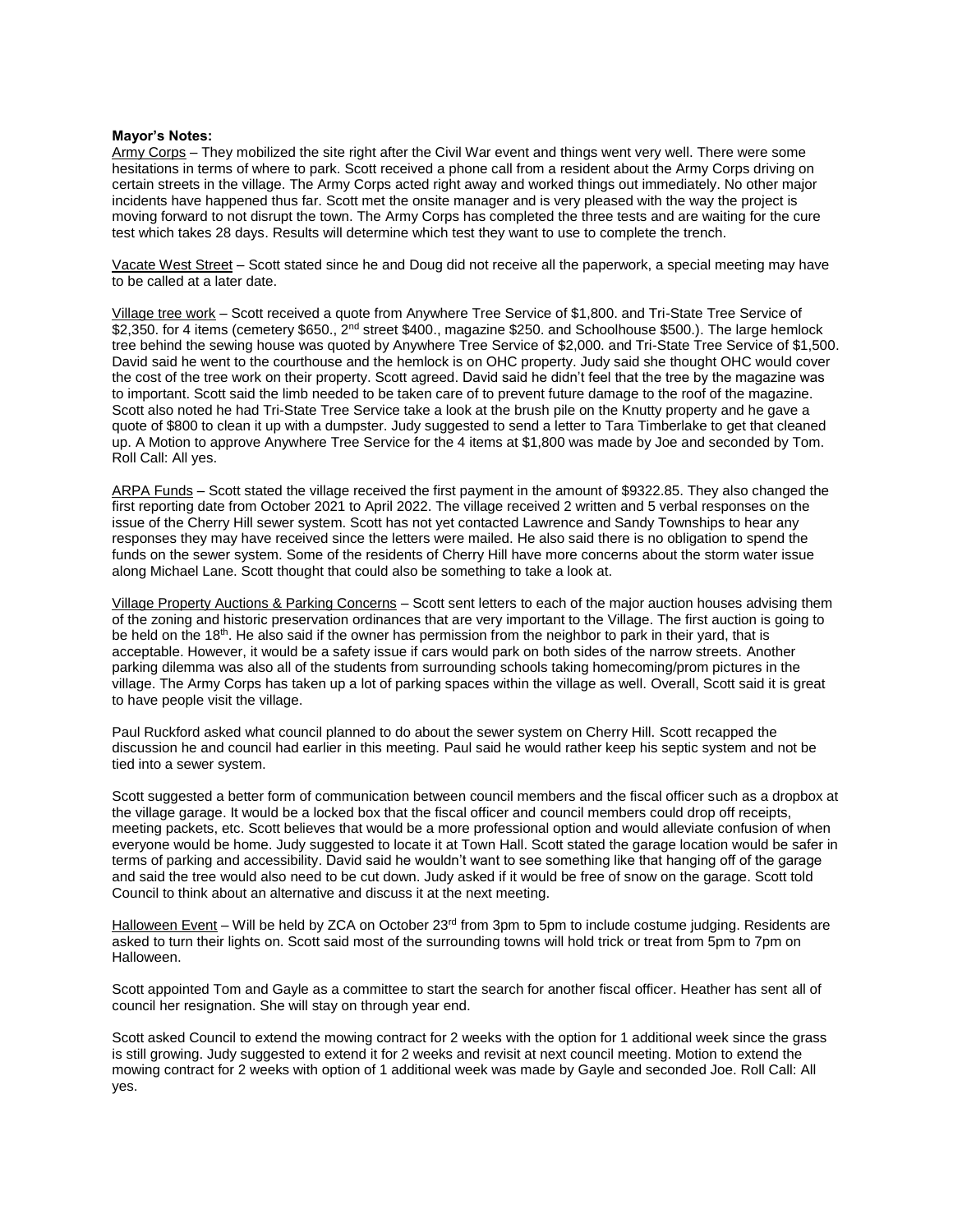### **Mayor's Notes:**

Army Corps – They mobilized the site right after the Civil War event and things went very well. There were some hesitations in terms of where to park. Scott received a phone call from a resident about the Army Corps driving on certain streets in the village. The Army Corps acted right away and worked things out immediately. No other major incidents have happened thus far. Scott met the onsite manager and is very pleased with the way the project is moving forward to not disrupt the town. The Army Corps has completed the three tests and are waiting for the cure test which takes 28 days. Results will determine which test they want to use to complete the trench.

Vacate West Street - Scott stated since he and Doug did not receive all the paperwork, a special meeting may have to be called at a later date.

Village tree work – Scott received a quote from Anywhere Tree Service of \$1,800. and Tri-State Tree Service of \$2,350. for 4 items (cemetery \$650., 2<sup>nd</sup> street \$400., magazine \$250. and Schoolhouse \$500.). The large hemlock tree behind the sewing house was quoted by Anywhere Tree Service of \$2,000. and Tri-State Tree Service of \$1,500. David said he went to the courthouse and the hemlock is on OHC property. Judy said she thought OHC would cover the cost of the tree work on their property. Scott agreed. David said he didn't feel that the tree by the magazine was to important. Scott said the limb needed to be taken care of to prevent future damage to the roof of the magazine. Scott also noted he had Tri-State Tree Service take a look at the brush pile on the Knutty property and he gave a quote of \$800 to clean it up with a dumpster. Judy suggested to send a letter to Tara Timberlake to get that cleaned up. A Motion to approve Anywhere Tree Service for the 4 items at \$1,800 was made by Joe and seconded by Tom. Roll Call: All yes.

ARPA Funds – Scott stated the village received the first payment in the amount of \$9322.85. They also changed the first reporting date from October 2021 to April 2022. The village received 2 written and 5 verbal responses on the issue of the Cherry Hill sewer system. Scott has not yet contacted Lawrence and Sandy Townships to hear any responses they may have received since the letters were mailed. He also said there is no obligation to spend the funds on the sewer system. Some of the residents of Cherry Hill have more concerns about the storm water issue along Michael Lane. Scott thought that could also be something to take a look at.

Village Property Auctions & Parking Concerns – Scott sent letters to each of the major auction houses advising them of the zoning and historic preservation ordinances that are very important to the Village. The first auction is going to be held on the 18<sup>th</sup>. He also said if the owner has permission from the neighbor to park in their yard, that is acceptable. However, it would be a safety issue if cars would park on both sides of the narrow streets. Another parking dilemma was also all of the students from surrounding schools taking homecoming/prom pictures in the village. The Army Corps has taken up a lot of parking spaces within the village as well. Overall, Scott said it is great to have people visit the village.

Paul Ruckford asked what council planned to do about the sewer system on Cherry Hill. Scott recapped the discussion he and council had earlier in this meeting. Paul said he would rather keep his septic system and not be tied into a sewer system.

Scott suggested a better form of communication between council members and the fiscal officer such as a dropbox at the village garage. It would be a locked box that the fiscal officer and council members could drop off receipts, meeting packets, etc. Scott believes that would be a more professional option and would alleviate confusion of when everyone would be home. Judy suggested to locate it at Town Hall. Scott stated the garage location would be safer in terms of parking and accessibility. David said he wouldn't want to see something like that hanging off of the garage and said the tree would also need to be cut down. Judy asked if it would be free of snow on the garage. Scott told Council to think about an alternative and discuss it at the next meeting.

Halloween Event – Will be held by ZCA on October 23<sup>rd</sup> from 3pm to 5pm to include costume judging. Residents are asked to turn their lights on. Scott said most of the surrounding towns will hold trick or treat from 5pm to 7pm on Halloween.

Scott appointed Tom and Gayle as a committee to start the search for another fiscal officer. Heather has sent all of council her resignation. She will stay on through year end.

Scott asked Council to extend the mowing contract for 2 weeks with the option for 1 additional week since the grass is still growing. Judy suggested to extend it for 2 weeks and revisit at next council meeting. Motion to extend the mowing contract for 2 weeks with option of 1 additional week was made by Gayle and seconded Joe. Roll Call: All yes.